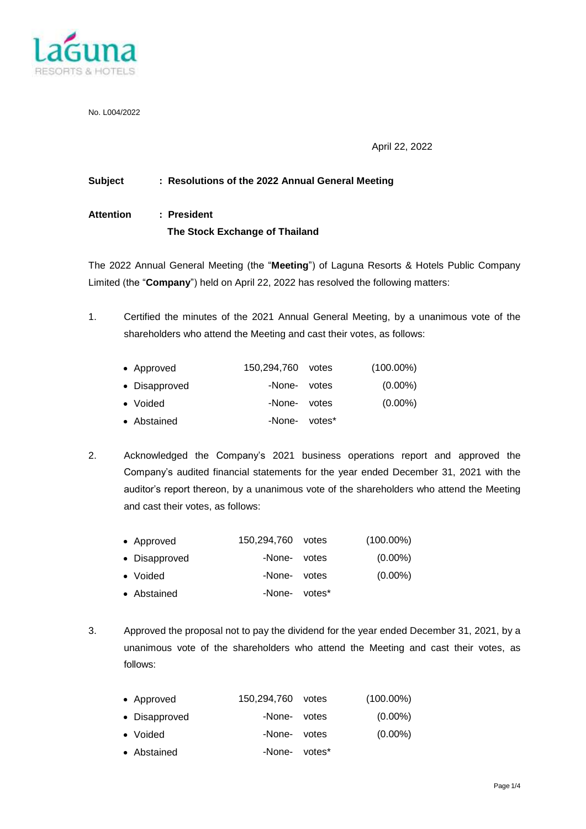

No. L004/2022

April 22, 2022

#### **Subject : Resolutions of the 2022 Annual General Meeting**

# **Attention : President The Stock Exchange of Thailand**

The 2022 Annual General Meeting (the "**Meeting**") of Laguna Resorts & Hotels Public Company Limited (the "**Company**") held on April 22, 2022 has resolved the following matters:

1. Certified the minutes of the 2021 Annual General Meeting, by a unanimous vote of the shareholders who attend the Meeting and cast their votes, as follows:

| • Approved    | 150,294,760 votes | $(100.00\%)$ |
|---------------|-------------------|--------------|
| • Disapproved | -None- votes      | $(0.00\%)$   |
| • Voided      | -None- votes      | $(0.00\%)$   |
| • Abstained   | -None- votes*     |              |

2. Acknowledged the Company's 2021 business operations report and approved the Company's audited financial statements for the year ended December 31, 2021 with the auditor's report thereon, by a unanimous vote of the shareholders who attend the Meeting and cast their votes, as follows:

| 150,294,760 votes<br>• Approved |  | (100.00%) |
|---------------------------------|--|-----------|
|---------------------------------|--|-----------|

- Disapproved -None- votes (0.00%) • Voided **-None-** votes (0.00%)
- 
- Abstained · · · · · · · · · · · · votes
- 3. Approved the proposal not to pay the dividend for the year ended December 31, 2021, by a unanimous vote of the shareholders who attend the Meeting and cast their votes, as follows:

| • Approved    | 150,294,760 votes | $(100.00\%)$ |
|---------------|-------------------|--------------|
| • Disapproved | -None- votes      | $(0.00\%)$   |
| • Voided      | -None- votes      | $(0.00\%)$   |
| • Abstained   | -None- votes*     |              |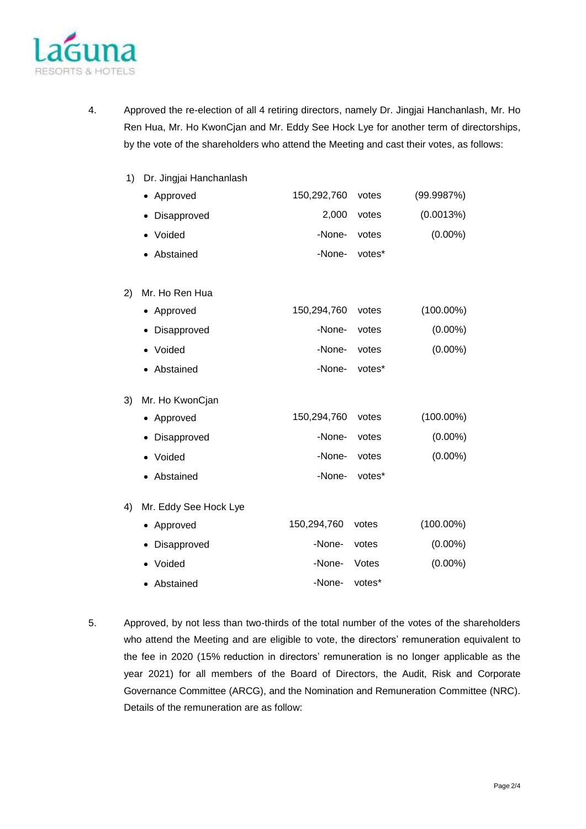

- 4. Approved the re-election of all 4 retiring directors, namely Dr. Jingjai Hanchanlash, Mr. Ho Ren Hua, Mr. Ho KwonCjan and Mr. Eddy See Hock Lye for another term of directorships, by the vote of the shareholders who attend the Meeting and cast their votes, as follows:
	- 1) Dr. Jingjai Hanchanlash

|    | Approved              | 150,292,760 | votes  | (99.9987%)   |
|----|-----------------------|-------------|--------|--------------|
|    | Disapproved           | 2,000       | votes  | (0.0013%)    |
|    | Voided<br>٠           | -None-      | votes  | $(0.00\%)$   |
|    | Abstained             | -None-      | votes* |              |
| 2) | Mr. Ho Ren Hua        |             |        |              |
|    | Approved              | 150,294,760 | votes  | $(100.00\%)$ |
|    | Disapproved           | -None-      | votes  | $(0.00\%)$   |
|    | Voided                | -None-      | votes  | $(0.00\%)$   |
|    | Abstained             | -None-      | votes* |              |
| 3) | Mr. Ho KwonCjan       |             |        |              |
|    | Approved              | 150,294,760 | votes  | $(100.00\%)$ |
|    | Disapproved           | -None-      | votes  | $(0.00\%)$   |
|    | Voided                | -None-      | votes  | $(0.00\%)$   |
|    | Abstained             | -None-      | votes* |              |
| 4) | Mr. Eddy See Hock Lye |             |        |              |
|    | Approved              | 150,294,760 | votes  | $(100.00\%)$ |
|    | Disapproved           | -None-      | votes  | $(0.00\%)$   |
|    | Voided                | -None-      | Votes  | $(0.00\%)$   |
|    | Abstained             | -None-      | votes* |              |

5. Approved, by not less than two-thirds of the total number of the votes of the shareholders who attend the Meeting and are eligible to vote, the directors' remuneration equivalent to the fee in 2020 (15% reduction in directors' remuneration is no longer applicable as the year 2021) for all members of the Board of Directors, the Audit, Risk and Corporate Governance Committee (ARCG), and the Nomination and Remuneration Committee (NRC). Details of the remuneration are as follow: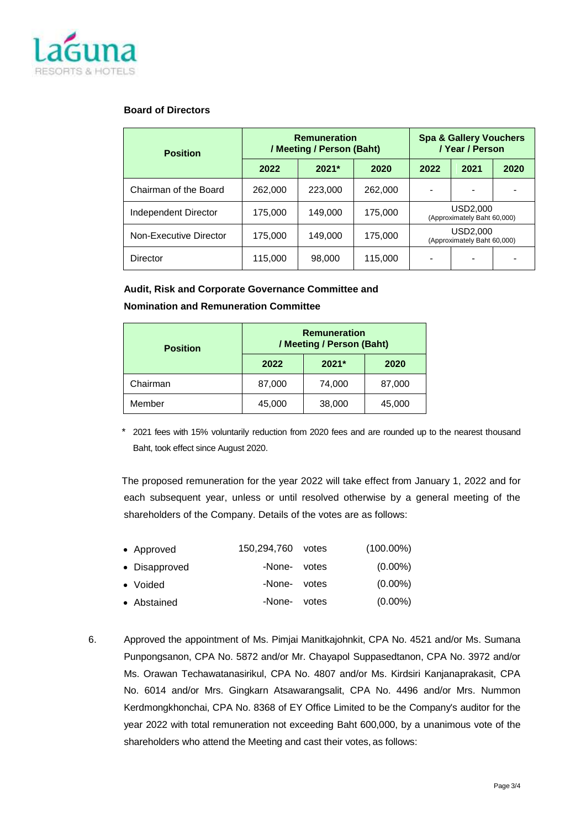

#### **Board of Directors**

| <b>Position</b>        | <b>Remuneration</b><br>/ Meeting / Person (Baht) |         |         | <b>Spa &amp; Gallery Vouchers</b><br>/ Year / Person |                                         |      |
|------------------------|--------------------------------------------------|---------|---------|------------------------------------------------------|-----------------------------------------|------|
|                        | 2022                                             | $2021*$ | 2020    | 2022                                                 | 2021                                    | 2020 |
| Chairman of the Board  | 262,000                                          | 223,000 | 262,000 |                                                      |                                         |      |
| Independent Director   | 175,000                                          | 149,000 | 175,000 |                                                      | USD2,000<br>(Approximately Baht 60,000) |      |
| Non-Executive Director | 175,000                                          | 149,000 | 175,000 |                                                      | USD2,000<br>(Approximately Baht 60,000) |      |
| Director               | 115,000                                          | 98,000  | 115,000 |                                                      |                                         |      |

## **Audit, Risk and Corporate Governance Committee and**

### **Nomination and Remuneration Committee**

| <b>Position</b> | <b>Remuneration</b><br>/ Meeting / Person (Baht) |         |        |  |
|-----------------|--------------------------------------------------|---------|--------|--|
|                 | 2022                                             | $2021*$ | 2020   |  |
| Chairman        | 87,000                                           | 74,000  | 87,000 |  |
| Member          | 45,000                                           | 38,000  | 45,000 |  |

\* 2021 fees with 15% voluntarily reduction from 2020 fees and are rounded up to the nearest thousand Baht, took effect since August 2020.

The proposed remuneration for the year 2022 will take effect from January 1, 2022 and for each subsequent year, unless or until resolved otherwise by a general meeting of the shareholders of the Company. Details of the votes are as follows:

| • Approved    | 150,294,760 votes | $(100.00\%)$ |
|---------------|-------------------|--------------|
| • Disapproved | -None- votes      | $(0.00\%)$   |
| • Voided      | -None- votes      | $(0.00\%)$   |
| • Abstained   | -None- votes      | $(0.00\%)$   |

6. Approved the appointment of Ms. Pimjai Manitkajohnkit, CPA No. 4521 and/or Ms. Sumana Punpongsanon, CPA No. 5872 and/or Mr. Chayapol Suppasedtanon, CPA No. 3972 and/or Ms. Orawan Techawatanasirikul, CPA No. 4807 and/or Ms. Kirdsiri Kanjanaprakasit, CPA No. 6014 and/or Mrs. Gingkarn Atsawarangsalit, CPA No. 4496 and/or Mrs. Nummon Kerdmongkhonchai, CPA No. 8368 of EY Office Limited to be the Company's auditor for the year 2022 with total remuneration not exceeding Baht 600,000, by a unanimous vote of the shareholders who attend the Meeting and cast their votes, as follows: